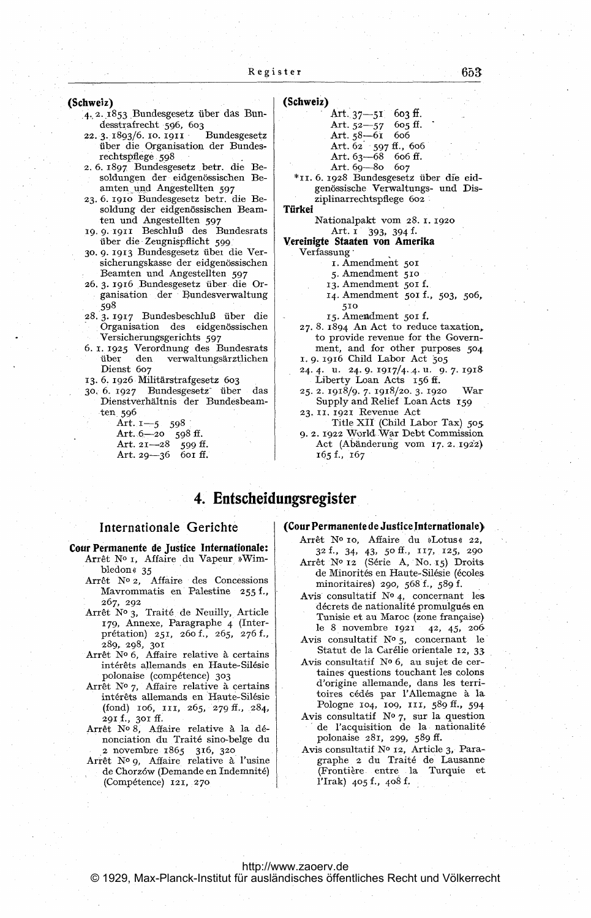(Schweiz)

- 4.2.1853 Bundesgesetz über das Bundesstrafrecht 596, 603
- Bundesgesetz 22. 3. 1893/6. 10. 1911 über die Organisation der Bundesrechtspflege 598
- 2.6.1897 Bundesgesetz betr. die Besoldungen der eidgenössischen Beamten und Angestellten 597
- 23.6. 1910 Bundesgesetz betr. die Besoldung der eidgenössischen Beamten und Angestellten 597<br>19.9.1911 Beschluß des Bundesrats
- über die Zeugnispflicht 599
- 30. 9. 1913 Bundesgesetz über die Versicherungskasse der eidgenössischen Beamten und Angestellten 597
- 26. 3. 1916 Bundesgesetz über die Organisation der Bundesverwaltung 598
- 28.3.1917 Bundesbeschluß über die Organisation des eidgenössischen Versicherungsgerichts 597
- 6. 1. 1925 Verordnung des Bundesrats über verwaltungsärztlichen den Dienst 607
- 13. 6. 1926 Militärstrafgesetz 603
- 30, 6. 1927 Bundesgesetz über das Dienstverhältnis der Bundesbeamten 596

Art. 1-5 598<br>Art. 6-20 598 Art. 6-20 598 ff.<br>Art. 21-28 599 ff. Art. 29-36 601 ff.

#### (Schweiz)

| Art. $37 - 51$ 603 ff.     |  |
|----------------------------|--|
| Art. $52 - 57$ 605 ff.     |  |
| Art. $58 - 61$ 606         |  |
| Art. $62 - 597$ ff., $606$ |  |
| Art. $63 - 68$ 606 ff.     |  |
| Art. $69 - 80$ $607$       |  |
|                            |  |

\*11. 6. 1928 Bundesgesetz über die eidgenössische Verwaltungs- und Disziplinarrechtspflege 602

Türkei

Nationalpakt vom 28. 1. 1920 Art. 1  $393, 394$  f.

# Vereinigte Staaten von Amerika  $\rm{Verfassung}$  .

- 1. Amendment 501
- 5. Amendment 510
- 13. Amendment 501 f.
- 14. Amendment 501 f., 503, 506, 510

15. Amendment 501 f.

- 27.8. 1894 An Act to reduce taxation, to provide revenue for the Government, and for other purposes 504 1. 9. 1916 Child Labor Act 505
- 24.4. u. 24.9. 1917/4.4. u. 9.7. 1918 Liberty Loan Acts 156 ff.
- 25. 2. 1918/9. 7. 1918/20. 3. 1920 War Supply and Relief Loan Acts 159
- 23. II. 1921 Revenue Act
- Title XII (Child Labor Tax) 505 9. 2. 1922 World War Debt Commission Act (Abänderung vom 17. 2. 1922) 165 f., 167

# 4. Entscheidungsregister

# Internationale Gerichte

# Cour Permanente de Justice Internationale:

- Arrêt Nº 1, Affaire du Vapeur »Wimbledon  $\ll35$
- Arrêt Nº 2, Affaire des Concessions Mavrommatis en Palestine 255 f., 267, 292
- Arrêt Nº 3, Traité de Neuilly, Article 179, Annexe, Paragraphe 4 (Interpretation) 251, 260 f., 265, 276 f., 289, 298, 301 Arr6t N 6, Affaire relative ä certains
- intérêts allemands en Haute-Silésie polonaise (compétence) 303
- Arrêt Nº 7, Affaire relative à certains interets allemands en Haute-Silesie (fond) 106, in, 265, 279 ff., 284, 291 f., 301 ff.
- Arrêt Nº 8, Affaire relative à la dénonciation du Traite sino-belge du <sup>2</sup> novembre 1865 316, 320
- Arrêt Nº 9, Affaire relative à l'usine de Chorzów (Demande en Indemnité) (Competence) 121, 270

#### (Cour Permanente de Justice Internationale)

- Arrêt Nº 10, Affaire du »Lotus« 22, 32 f., 34, 43, 50 ff., 117, 125, 290 Arret No <sup>12</sup> (Serie A, No. 15) Droits de Minorités en Haute-Silésie (écoles
- minoritaires) 290, 568 f., 589 f. Avis consultatif  $N^o$  4, concernant les décrets de nationalité promulgués en Tunisie et au Maroc (zone francaise) le <sup>8</sup> novembre 1921 42, 45, 206
- Avis consultatif  $N^{\circ}$  5, concernant le Statut de la Carélie orientale 12, 33
- Avis consultatif Nº 6, au sujet de certaines questions touchant les colons d'origine allemande, dans les territoires cedes par l'Allemagne ä la Pologne 104, 109, 111, 589 ff., 594
- Avis consultatif  $\mathbb{N}^{\circ}$  7, sur la question de l'acquisition de la nationalité polonaise 281, 299, 589 ff.
- Avis consultatif Nº 12, Article 3, Paragraphe <sup>2</sup> du Traite de Lausanne (Frontiere entre la Turquie et l'Irak)  $405$  f.,  $408$  f.

# <http://www.zaoerv.de>

© 1929, Max-Planck-Institut für ausländisches öffentliches Recht und Völkerrecht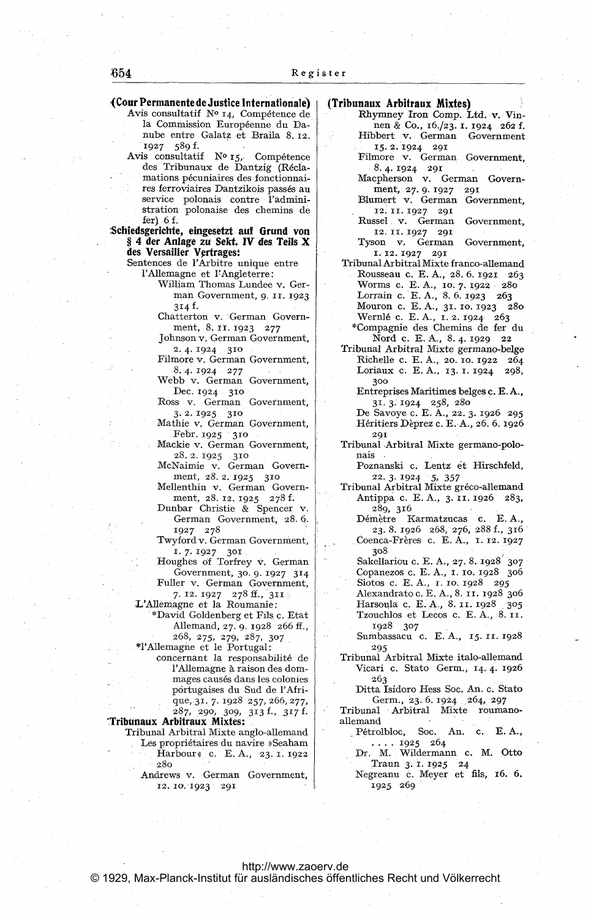# (Cour Permanente de Justice Internationale)<br>Avis consultatif  $N^o$  14, Compétence de

la Commission Européenne du Danube entre Galatz et Braila 8. 12. 1927 589 f.

Avis consultatif  $N^o$  15, Compétence des Tribunaux de Dantzig (Recla mations pecuniaires des fonctionnaires ferroviaires Dantzikois passes au service polonais contre l'administration polonaise des chemins de fer)  $6f$ .

Schiedsgerichte, eingesetzt auf Grund von § <sup>4</sup> der Anlage zu Sekt. IV des Teils X des Versailler Vertragest

Sentences de l'Arbitre unique entre l'Allemagne et FAngleterre: William Thomas Lundee v. Ger-

man Government, 9. ir. <sup>1923</sup> 314 f.

Chatterton v. German Government, 8. 11. 1923 277

Johnson v. German Government, 2. 4.1924 310

Filmore v. German Government, 8. 4. 1924 277

Webb v. German Government, Dec. 1924 310

Ross v. German Government, 3. 2.1925 310

Mathie v. German Government, Febr. 1925 310

Mackie v. German Government,

28. 2. 1925 310 McNaimie v. German Government, 28. 2. 1925 310

Mellenthin v. German Government, 28. 12. 1925 278 f.

Dunbar Christie & Spencer v. German Government, 28. 6.

1927 278 Twyford v. German Government,

1. 7. 1927 301 Houghes of Torfrey v. German

Government, 30. 9. 1927 314 Fuller v. German Government,

7. 12. 1927 278 ff., 311 L'Allemagne et la Roumanie:

\*David Goldenberg et Fils c. Etat Allemand, 27. 9. 1928 266 ff., 268, 275, 279, 287, 307

TAllemagne et le Portugal:

concernant la responsabilite de l'Allemagne à raison des dommages causes dans les colonies portugaises du Sud de l'Afrique, 31. 7. 1928 257, 266, 277, 287, 290, 309, 313!, 317 f.

Tribunaux Arbitraux Mixtes:

Tribunal Arbitral Mixte anglo-allemand Les propriétaires du navire »Seaham Harbour c. E. A., 23. 1. 1922 280

> Andrews v. German Government, 12. 10. 1923 291

# (Tribunaux Arbitraux Mixtes)

Rhymney Iron Comp. Ltd. v. Vinnen & Co., 16./23. 1. <sup>1924</sup> <sup>262</sup> f. Hibbert v. German Government 15. 2.1924 291

Filmore v. German Government,

- 8. 4. 1924 291 Macpherson v. German Govern-
- ment, 27. 9. 1927 291 Blumert v. German Government, 12.11.1927 291
- Rüssel v. German Government, 12. 11. 1927 291

Tyson v. German Government, 1. 12.1927 291

Tribunal Arbitral Mixte franco-allemand Rousseau c. E. A., 28. 6. 1921 263 Worms c. E. A., 10. 7. <sup>1922</sup> 280 Lorrain c. E. A., 8. 6. 1923 263

Mouron c. E. A., 31. 10. 1923 280 Wernle c. E. A., 1. 2. 1924 263

\*Compagnie des Chemins de fer du Nord c. E. A., 8. 4. 1929 22

Tribunal Arbitral Mixte germano-belge Richelle c. E. A., 20. 10. 1922 264 Loriaux c. E. A., 13. 1. 1924 298, 300

Entreprises Maritimes beiges c. E. A., 31. 3. 1924 258, 280

De Savoye c. E. A., 22. 3. 1926 295 Heritiers Deprez c. E. A., 26. 6. 1926 291

Tribunal Arbitral Mixte germano-polo- $_{\rm nais}$  .

Poznanski c. Lentz et Hirschfeld, 22. 3. 1924 5, 357

Tribunal Arbitral Mixte greco-allemand Antippa c. E. A., 3. 11. 1926 283, 289, 316

Démètre Karmatzucas c. E.A., 23. 8. 1926 268, 276, 288 f., 316 Coenca-Freres c. E. A., I. 12. 1927 308

Sakellariou c. E. A., 27. 8. 1928 307 Copanezos c. E. A., 1. 10. 1928 306 Siotos c. E. A., 1. 10. 1928 295

Alexandrato c. E. A., 8. 11. 1928 306 Harsoula c. E. A., 8. 11. 1928 305 Tzouchlos et Lecos c. E. A., 8. 11. 1928 307

- Sumbassacu c. E. A., 15. 11. 1928 295
- Tribunal Arbitral Mixte italo-allemand Vicari c. Stato Germ., 14. 4. 1926 263

Ditta Isidoro Hess Soc. An. c. Stato Germ., 23. 6. 1924 264, 297

Tribunal Arbitral Mixte roumanoallemand

Pétrolbloc, Soc. An. c. E.A.,

1925 264 Dr. M. Wildermann c. M. Otto Traun 3. 1. 1925 24

Negreanu c. Meyer et fils, 16. 6. 1925 269

# <http://www.zaoerv.de>

© 1929, Max-Planck-Institut für ausländisches öffentliches Recht und Völkerrecht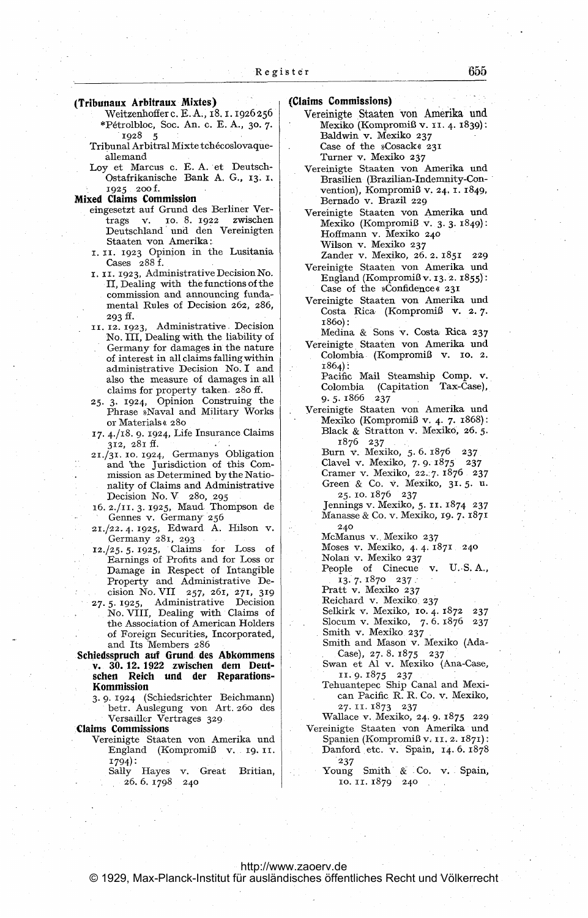- (Tribunaux Arbitraux Mixtes)
	- Weitzenhofferc. E. A., 18.1.1926256 \*Petrolbloc, Soc. An. c. E. A., 30. 7. 1928 5
	- Tribunal Arbitral Mixte tchecoslovaqueallemand
	- Loy et Marcus c. E. A. et Deutsch-Ostafrikanische Bank A. G., 13. 1, 1925 200 f.

#### Mixed Claims Commission

- eingesetzt auf Grund des Berliner Vertrags v. 10. 8. 1922 zwischen Deutschland und den Vereinigten Staaten von Amerika:
- 1. 11. 1923 Opinion in the Lusitania Cases 288 f.
- 1. 11. 1923, Administrative Decision No. II, Dealing with the functions of the commission and announcing fundamental Rules of Decision 262, 286, 293 ff.
- 11. 12. 1923, Administrative Decision No. Ill, Dealing with the liability of Germany for damages in the nature of interest in all claims falling within administrative Decision No. I and also the measure of damages in all claims for property taken 280 ff.
- 25. 3. 1924, Opinion Construing the Phrase »Naval and Military Works or Materials « 280
- 17. 4./18. 9. 1924, Life Insurance Claims 312, 281 ff.
- 21./31. 10. 1924, Germanys Obligation and 'the Jurisdiction of this Commission as Determined by the Nationality of Claims and Administrative Decision No. V 280, 295
- 16. 2./11. 3. 1925, Maud Thompson de Gennes v. Germany 256
- 21./22. 4. 1925, Edward A. Hilson v. Germany 281, 293
- 12./25. 5. 1925, Claims for Loss of Earnings of Profits and for Loss or Damage in Respect of Intangible Property and Administrative Decision No. VII 257, 261, 271, 319
- 27. 5. 1925, Administrative Decision No. VIII, Dealing with Claims of the Association of American Holders of Foreign Securities, Incorporated, and Its Members <sup>286</sup>
- Schiedsspruch auf Grund des Abkommens v. 30.12. 1922 zwischen dem Deutsehen Reich und der Reparations- Kommission
	- 3. 9. 1924 (Schiedsrichter Beichmann) betr. Auslegung von Art. 260 des Versaüler Vertrages 329

# Claims Commissions

- Vereinigte Staaten von Amerika und England (Kompromiß v. 19. 11. 1794):
	- Sally Hayes v. Great Britian, 26. 6.1798 240

# (Claims Commissions)

- Vereinigte Staaten von Amerika und Mexiko (Kompromiß v. 11. 4. 1839): Baldwin v. Mexiko 237 Case of the »Cosack« 231 Turner v. Mexiko 237
- Vereinigte Staaten von Amerika und Brasilien (Brazilian-Indemnity-Convention), Kompromiß v. 24. 1. 1849, Bernado v. Brazil 229
- Vereinigte Staaten von Amerika und Mexiko (Kompromiß v. 3.3. 1849): Hoffmann v. Mexiko 240 Wilson v. Mexiko 237
	- Zander v. Mexiko, 26. 2. 1851 229
- Vereinigte Staaten von Amerika und England (Kompromiß v. 13.2.1855): Case of the »Confidence«  $23I$
- Vereinigte Staaten von Amerika und Costa Rica (Kompromiß v. 2. 7. i860):

Medina & Sons v. Costa Rica 237 Vereinigte Staaten von Amerika und

- Colombia (Kompromiß v. 10. 2. 1864): Pacific Mail Steamship Comp. v.
	- Colombia (Capitation Tax-Case), 9.5.1866 237
- Vereinigte Staaten von Amerika und Mexiko (Kompromiß v. 4. 7. 1868): Black & Stratton v. Mexiko, 26. 5. 1876 237

Burn v. Mexiko, 5. 6. 1876 237 Clavel v. Mexiko, 7. 9. 1875 237 Cramer v. Mexiko, 22. 7. 1876 237

Green & Co. v. Mexiko, 31.5. u. 25.10.1876 237

Jennings v. Mexiko, 5. 11. 1874 237 Manasse & Co. v. Mexiko, 19. 7. 1871 240

McManus v. Mexiko 237

Moses v. Mexiko, 4. 4. 1871 240 Nolan v. Mexiko 237

- People of Cinecue v. U. S. A., 13. 7.1870 237
- Pratt v. Mexiko 237

Reichard v. Mexiko 237

Selkirk v. Mexiko, 10. 4. 1872 237

Slocum v. Mexiko, 7. 6. 1876 237

Smith v. Mexiko 237 Smith and Mason v. Mexiko (Ada-

- Case), 27. 8. 1875 237 Swan et AI v. Mexiko (Ana-Case,
- 11.9.1875 237 Tehuantepec Ship Canal and Mexican Pacific R. R. Co. v. Mexiko, 27.11.1873 237
- Wallace v. Mexiko, 24. 9. 1875 229 Vereinigte Staaten von Amerika und
	- Spanien (Kompromiß v. 11. 2. 1871): Danford etc. v. Spain, 14. 6. 1878 237
		- Young Smith & Co. v. Spain, 10.11.1879 240

### <http://www.zaoerv.de> © 1929, Max-Planck-Institut für ausländisches öffentliches Recht und Völkerrecht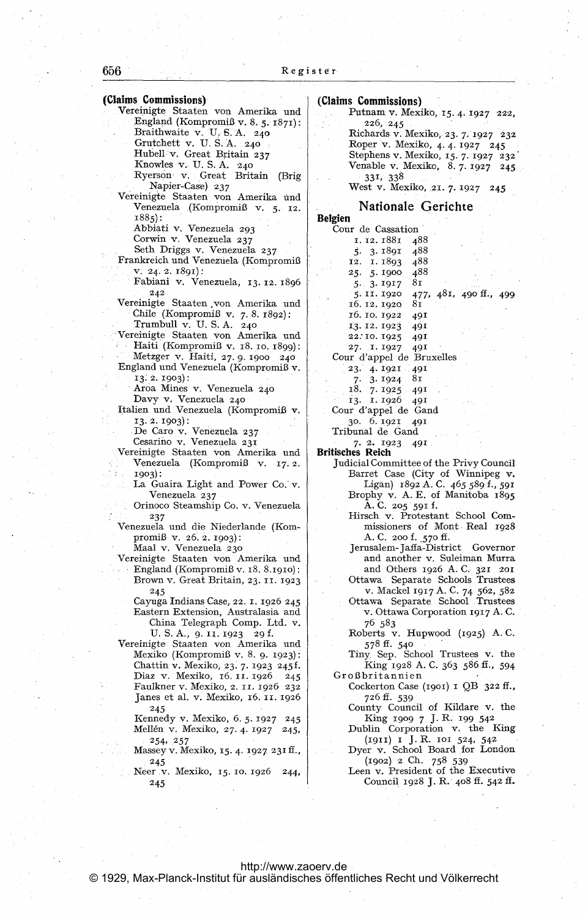| Vereinigte Staaten von Amerika und<br>Venezuela (Kompromiß v. 5. 12.<br>$1885$ :<br>Abbiati v. Venezuela 293<br>Corwin v. Venezuela 237<br>Seth Driggs v. Venezuela 237<br>Frankreich und Venezuela (Kompromiß<br>v. 24.2.1891):<br>Fabiani v. Venezuela, 13. 12. 1896<br>242<br>Vereinigte Staaten von Amerika und<br>Chile (Kompromiß v. 7.8.1892):<br>Trumbull v. U.S.A. 240<br>Vereinigte Staaten von Amerika und<br>Haiti (Kompromiß v. 18. 10. 1899):<br>Metzger v. Haiti, 27. 9. 1900 240<br>England und Venezuela (Kompromiß v.<br>13. 2. 1903):<br>Aroa Mines v. Venezuela 240<br>Davy v. Venezuela 240<br>Italien und Venezuela (Kompromiß v.<br>$13.2.1903$ :<br>De Caro v. Venezuela 237<br>Cesarino v. Venezuela 231<br>Vereinigte Staaten von Amerika und<br>Venezuela (Kompromiß v.<br>17.2.<br>1903):<br>La Guaira Light and Power Co. v.<br>Venezuela 237<br>Orinoco Steamship Co. v. Venezuela<br>237<br>Venezuela und die Niederlande (Kom-<br>promiß v. 26. 2. 1903):<br>Maal v. Venezuela 230<br>Vereinigte Staaten von Amerika und<br>England (Kompromiß v. 18. 8.1910):<br>Brown v. Great Britain, 23. 11. 1923<br>245<br>Cayuga Indians Case, 22. 1. 1926 245<br>Eastern Extension, Australasia and<br>China Telegraph Comp. Ltd. v.<br>U.S.A., 9.II.1923 29 f.<br>Vereinigte Staaten von Amerika und<br>Mexiko (Kompromiß v. 8. 9. 1923):<br>Chattin v. Mexiko, 23. 7. 1923 245f.<br>Diaz v. Mexiko, 16. 11. 1926 245<br>Faulkner v. Mexiko, 2. 11. 1926 232<br>Janes et al. v. Mexiko, 16. 11. 1926<br>245<br>Kennedy v. Mexiko, 6. 5. 1927 245<br>Mellén v. Mexiko, 27. 4. 1927 245,<br>254, 257<br>Massey v. Mexiko, 15. 4. 1927 231 ff.,<br>245<br>Neer v. Mexiko, 15. 10. 1926<br>244,<br>245 | Napier-Case) 237 |                 |
|-----------------------------------------------------------------------------------------------------------------------------------------------------------------------------------------------------------------------------------------------------------------------------------------------------------------------------------------------------------------------------------------------------------------------------------------------------------------------------------------------------------------------------------------------------------------------------------------------------------------------------------------------------------------------------------------------------------------------------------------------------------------------------------------------------------------------------------------------------------------------------------------------------------------------------------------------------------------------------------------------------------------------------------------------------------------------------------------------------------------------------------------------------------------------------------------------------------------------------------------------------------------------------------------------------------------------------------------------------------------------------------------------------------------------------------------------------------------------------------------------------------------------------------------------------------------------------------------------------------------------------------------------------------------------------------------------------------------------------|------------------|-----------------|
|                                                                                                                                                                                                                                                                                                                                                                                                                                                                                                                                                                                                                                                                                                                                                                                                                                                                                                                                                                                                                                                                                                                                                                                                                                                                                                                                                                                                                                                                                                                                                                                                                                                                                                                             |                  |                 |
|                                                                                                                                                                                                                                                                                                                                                                                                                                                                                                                                                                                                                                                                                                                                                                                                                                                                                                                                                                                                                                                                                                                                                                                                                                                                                                                                                                                                                                                                                                                                                                                                                                                                                                                             |                  |                 |
|                                                                                                                                                                                                                                                                                                                                                                                                                                                                                                                                                                                                                                                                                                                                                                                                                                                                                                                                                                                                                                                                                                                                                                                                                                                                                                                                                                                                                                                                                                                                                                                                                                                                                                                             |                  | Belgien         |
|                                                                                                                                                                                                                                                                                                                                                                                                                                                                                                                                                                                                                                                                                                                                                                                                                                                                                                                                                                                                                                                                                                                                                                                                                                                                                                                                                                                                                                                                                                                                                                                                                                                                                                                             |                  | Cou             |
|                                                                                                                                                                                                                                                                                                                                                                                                                                                                                                                                                                                                                                                                                                                                                                                                                                                                                                                                                                                                                                                                                                                                                                                                                                                                                                                                                                                                                                                                                                                                                                                                                                                                                                                             |                  |                 |
|                                                                                                                                                                                                                                                                                                                                                                                                                                                                                                                                                                                                                                                                                                                                                                                                                                                                                                                                                                                                                                                                                                                                                                                                                                                                                                                                                                                                                                                                                                                                                                                                                                                                                                                             |                  |                 |
|                                                                                                                                                                                                                                                                                                                                                                                                                                                                                                                                                                                                                                                                                                                                                                                                                                                                                                                                                                                                                                                                                                                                                                                                                                                                                                                                                                                                                                                                                                                                                                                                                                                                                                                             |                  |                 |
|                                                                                                                                                                                                                                                                                                                                                                                                                                                                                                                                                                                                                                                                                                                                                                                                                                                                                                                                                                                                                                                                                                                                                                                                                                                                                                                                                                                                                                                                                                                                                                                                                                                                                                                             |                  |                 |
|                                                                                                                                                                                                                                                                                                                                                                                                                                                                                                                                                                                                                                                                                                                                                                                                                                                                                                                                                                                                                                                                                                                                                                                                                                                                                                                                                                                                                                                                                                                                                                                                                                                                                                                             |                  |                 |
|                                                                                                                                                                                                                                                                                                                                                                                                                                                                                                                                                                                                                                                                                                                                                                                                                                                                                                                                                                                                                                                                                                                                                                                                                                                                                                                                                                                                                                                                                                                                                                                                                                                                                                                             |                  |                 |
|                                                                                                                                                                                                                                                                                                                                                                                                                                                                                                                                                                                                                                                                                                                                                                                                                                                                                                                                                                                                                                                                                                                                                                                                                                                                                                                                                                                                                                                                                                                                                                                                                                                                                                                             |                  |                 |
|                                                                                                                                                                                                                                                                                                                                                                                                                                                                                                                                                                                                                                                                                                                                                                                                                                                                                                                                                                                                                                                                                                                                                                                                                                                                                                                                                                                                                                                                                                                                                                                                                                                                                                                             |                  |                 |
|                                                                                                                                                                                                                                                                                                                                                                                                                                                                                                                                                                                                                                                                                                                                                                                                                                                                                                                                                                                                                                                                                                                                                                                                                                                                                                                                                                                                                                                                                                                                                                                                                                                                                                                             |                  |                 |
|                                                                                                                                                                                                                                                                                                                                                                                                                                                                                                                                                                                                                                                                                                                                                                                                                                                                                                                                                                                                                                                                                                                                                                                                                                                                                                                                                                                                                                                                                                                                                                                                                                                                                                                             |                  |                 |
|                                                                                                                                                                                                                                                                                                                                                                                                                                                                                                                                                                                                                                                                                                                                                                                                                                                                                                                                                                                                                                                                                                                                                                                                                                                                                                                                                                                                                                                                                                                                                                                                                                                                                                                             |                  |                 |
|                                                                                                                                                                                                                                                                                                                                                                                                                                                                                                                                                                                                                                                                                                                                                                                                                                                                                                                                                                                                                                                                                                                                                                                                                                                                                                                                                                                                                                                                                                                                                                                                                                                                                                                             |                  |                 |
|                                                                                                                                                                                                                                                                                                                                                                                                                                                                                                                                                                                                                                                                                                                                                                                                                                                                                                                                                                                                                                                                                                                                                                                                                                                                                                                                                                                                                                                                                                                                                                                                                                                                                                                             |                  | Cou             |
|                                                                                                                                                                                                                                                                                                                                                                                                                                                                                                                                                                                                                                                                                                                                                                                                                                                                                                                                                                                                                                                                                                                                                                                                                                                                                                                                                                                                                                                                                                                                                                                                                                                                                                                             |                  |                 |
|                                                                                                                                                                                                                                                                                                                                                                                                                                                                                                                                                                                                                                                                                                                                                                                                                                                                                                                                                                                                                                                                                                                                                                                                                                                                                                                                                                                                                                                                                                                                                                                                                                                                                                                             |                  |                 |
|                                                                                                                                                                                                                                                                                                                                                                                                                                                                                                                                                                                                                                                                                                                                                                                                                                                                                                                                                                                                                                                                                                                                                                                                                                                                                                                                                                                                                                                                                                                                                                                                                                                                                                                             |                  |                 |
|                                                                                                                                                                                                                                                                                                                                                                                                                                                                                                                                                                                                                                                                                                                                                                                                                                                                                                                                                                                                                                                                                                                                                                                                                                                                                                                                                                                                                                                                                                                                                                                                                                                                                                                             |                  |                 |
|                                                                                                                                                                                                                                                                                                                                                                                                                                                                                                                                                                                                                                                                                                                                                                                                                                                                                                                                                                                                                                                                                                                                                                                                                                                                                                                                                                                                                                                                                                                                                                                                                                                                                                                             |                  |                 |
|                                                                                                                                                                                                                                                                                                                                                                                                                                                                                                                                                                                                                                                                                                                                                                                                                                                                                                                                                                                                                                                                                                                                                                                                                                                                                                                                                                                                                                                                                                                                                                                                                                                                                                                             |                  | Cou             |
|                                                                                                                                                                                                                                                                                                                                                                                                                                                                                                                                                                                                                                                                                                                                                                                                                                                                                                                                                                                                                                                                                                                                                                                                                                                                                                                                                                                                                                                                                                                                                                                                                                                                                                                             |                  |                 |
|                                                                                                                                                                                                                                                                                                                                                                                                                                                                                                                                                                                                                                                                                                                                                                                                                                                                                                                                                                                                                                                                                                                                                                                                                                                                                                                                                                                                                                                                                                                                                                                                                                                                                                                             |                  | Tril            |
|                                                                                                                                                                                                                                                                                                                                                                                                                                                                                                                                                                                                                                                                                                                                                                                                                                                                                                                                                                                                                                                                                                                                                                                                                                                                                                                                                                                                                                                                                                                                                                                                                                                                                                                             |                  |                 |
|                                                                                                                                                                                                                                                                                                                                                                                                                                                                                                                                                                                                                                                                                                                                                                                                                                                                                                                                                                                                                                                                                                                                                                                                                                                                                                                                                                                                                                                                                                                                                                                                                                                                                                                             |                  | <b>Britisch</b> |
|                                                                                                                                                                                                                                                                                                                                                                                                                                                                                                                                                                                                                                                                                                                                                                                                                                                                                                                                                                                                                                                                                                                                                                                                                                                                                                                                                                                                                                                                                                                                                                                                                                                                                                                             |                  | Jud             |
|                                                                                                                                                                                                                                                                                                                                                                                                                                                                                                                                                                                                                                                                                                                                                                                                                                                                                                                                                                                                                                                                                                                                                                                                                                                                                                                                                                                                                                                                                                                                                                                                                                                                                                                             |                  |                 |
|                                                                                                                                                                                                                                                                                                                                                                                                                                                                                                                                                                                                                                                                                                                                                                                                                                                                                                                                                                                                                                                                                                                                                                                                                                                                                                                                                                                                                                                                                                                                                                                                                                                                                                                             |                  |                 |
|                                                                                                                                                                                                                                                                                                                                                                                                                                                                                                                                                                                                                                                                                                                                                                                                                                                                                                                                                                                                                                                                                                                                                                                                                                                                                                                                                                                                                                                                                                                                                                                                                                                                                                                             |                  |                 |
|                                                                                                                                                                                                                                                                                                                                                                                                                                                                                                                                                                                                                                                                                                                                                                                                                                                                                                                                                                                                                                                                                                                                                                                                                                                                                                                                                                                                                                                                                                                                                                                                                                                                                                                             |                  |                 |
|                                                                                                                                                                                                                                                                                                                                                                                                                                                                                                                                                                                                                                                                                                                                                                                                                                                                                                                                                                                                                                                                                                                                                                                                                                                                                                                                                                                                                                                                                                                                                                                                                                                                                                                             |                  |                 |
|                                                                                                                                                                                                                                                                                                                                                                                                                                                                                                                                                                                                                                                                                                                                                                                                                                                                                                                                                                                                                                                                                                                                                                                                                                                                                                                                                                                                                                                                                                                                                                                                                                                                                                                             |                  |                 |
|                                                                                                                                                                                                                                                                                                                                                                                                                                                                                                                                                                                                                                                                                                                                                                                                                                                                                                                                                                                                                                                                                                                                                                                                                                                                                                                                                                                                                                                                                                                                                                                                                                                                                                                             |                  |                 |
|                                                                                                                                                                                                                                                                                                                                                                                                                                                                                                                                                                                                                                                                                                                                                                                                                                                                                                                                                                                                                                                                                                                                                                                                                                                                                                                                                                                                                                                                                                                                                                                                                                                                                                                             |                  |                 |
|                                                                                                                                                                                                                                                                                                                                                                                                                                                                                                                                                                                                                                                                                                                                                                                                                                                                                                                                                                                                                                                                                                                                                                                                                                                                                                                                                                                                                                                                                                                                                                                                                                                                                                                             |                  |                 |
|                                                                                                                                                                                                                                                                                                                                                                                                                                                                                                                                                                                                                                                                                                                                                                                                                                                                                                                                                                                                                                                                                                                                                                                                                                                                                                                                                                                                                                                                                                                                                                                                                                                                                                                             |                  |                 |
|                                                                                                                                                                                                                                                                                                                                                                                                                                                                                                                                                                                                                                                                                                                                                                                                                                                                                                                                                                                                                                                                                                                                                                                                                                                                                                                                                                                                                                                                                                                                                                                                                                                                                                                             |                  |                 |
|                                                                                                                                                                                                                                                                                                                                                                                                                                                                                                                                                                                                                                                                                                                                                                                                                                                                                                                                                                                                                                                                                                                                                                                                                                                                                                                                                                                                                                                                                                                                                                                                                                                                                                                             |                  |                 |
|                                                                                                                                                                                                                                                                                                                                                                                                                                                                                                                                                                                                                                                                                                                                                                                                                                                                                                                                                                                                                                                                                                                                                                                                                                                                                                                                                                                                                                                                                                                                                                                                                                                                                                                             |                  |                 |
|                                                                                                                                                                                                                                                                                                                                                                                                                                                                                                                                                                                                                                                                                                                                                                                                                                                                                                                                                                                                                                                                                                                                                                                                                                                                                                                                                                                                                                                                                                                                                                                                                                                                                                                             |                  |                 |
|                                                                                                                                                                                                                                                                                                                                                                                                                                                                                                                                                                                                                                                                                                                                                                                                                                                                                                                                                                                                                                                                                                                                                                                                                                                                                                                                                                                                                                                                                                                                                                                                                                                                                                                             |                  |                 |
|                                                                                                                                                                                                                                                                                                                                                                                                                                                                                                                                                                                                                                                                                                                                                                                                                                                                                                                                                                                                                                                                                                                                                                                                                                                                                                                                                                                                                                                                                                                                                                                                                                                                                                                             |                  |                 |
|                                                                                                                                                                                                                                                                                                                                                                                                                                                                                                                                                                                                                                                                                                                                                                                                                                                                                                                                                                                                                                                                                                                                                                                                                                                                                                                                                                                                                                                                                                                                                                                                                                                                                                                             |                  |                 |
|                                                                                                                                                                                                                                                                                                                                                                                                                                                                                                                                                                                                                                                                                                                                                                                                                                                                                                                                                                                                                                                                                                                                                                                                                                                                                                                                                                                                                                                                                                                                                                                                                                                                                                                             |                  |                 |
|                                                                                                                                                                                                                                                                                                                                                                                                                                                                                                                                                                                                                                                                                                                                                                                                                                                                                                                                                                                                                                                                                                                                                                                                                                                                                                                                                                                                                                                                                                                                                                                                                                                                                                                             |                  |                 |
|                                                                                                                                                                                                                                                                                                                                                                                                                                                                                                                                                                                                                                                                                                                                                                                                                                                                                                                                                                                                                                                                                                                                                                                                                                                                                                                                                                                                                                                                                                                                                                                                                                                                                                                             |                  |                 |
|                                                                                                                                                                                                                                                                                                                                                                                                                                                                                                                                                                                                                                                                                                                                                                                                                                                                                                                                                                                                                                                                                                                                                                                                                                                                                                                                                                                                                                                                                                                                                                                                                                                                                                                             |                  | Gr              |
|                                                                                                                                                                                                                                                                                                                                                                                                                                                                                                                                                                                                                                                                                                                                                                                                                                                                                                                                                                                                                                                                                                                                                                                                                                                                                                                                                                                                                                                                                                                                                                                                                                                                                                                             |                  |                 |
|                                                                                                                                                                                                                                                                                                                                                                                                                                                                                                                                                                                                                                                                                                                                                                                                                                                                                                                                                                                                                                                                                                                                                                                                                                                                                                                                                                                                                                                                                                                                                                                                                                                                                                                             |                  |                 |
|                                                                                                                                                                                                                                                                                                                                                                                                                                                                                                                                                                                                                                                                                                                                                                                                                                                                                                                                                                                                                                                                                                                                                                                                                                                                                                                                                                                                                                                                                                                                                                                                                                                                                                                             |                  |                 |
|                                                                                                                                                                                                                                                                                                                                                                                                                                                                                                                                                                                                                                                                                                                                                                                                                                                                                                                                                                                                                                                                                                                                                                                                                                                                                                                                                                                                                                                                                                                                                                                                                                                                                                                             |                  |                 |
|                                                                                                                                                                                                                                                                                                                                                                                                                                                                                                                                                                                                                                                                                                                                                                                                                                                                                                                                                                                                                                                                                                                                                                                                                                                                                                                                                                                                                                                                                                                                                                                                                                                                                                                             |                  |                 |
|                                                                                                                                                                                                                                                                                                                                                                                                                                                                                                                                                                                                                                                                                                                                                                                                                                                                                                                                                                                                                                                                                                                                                                                                                                                                                                                                                                                                                                                                                                                                                                                                                                                                                                                             |                  |                 |
|                                                                                                                                                                                                                                                                                                                                                                                                                                                                                                                                                                                                                                                                                                                                                                                                                                                                                                                                                                                                                                                                                                                                                                                                                                                                                                                                                                                                                                                                                                                                                                                                                                                                                                                             |                  |                 |
|                                                                                                                                                                                                                                                                                                                                                                                                                                                                                                                                                                                                                                                                                                                                                                                                                                                                                                                                                                                                                                                                                                                                                                                                                                                                                                                                                                                                                                                                                                                                                                                                                                                                                                                             |                  |                 |
|                                                                                                                                                                                                                                                                                                                                                                                                                                                                                                                                                                                                                                                                                                                                                                                                                                                                                                                                                                                                                                                                                                                                                                                                                                                                                                                                                                                                                                                                                                                                                                                                                                                                                                                             |                  |                 |
|                                                                                                                                                                                                                                                                                                                                                                                                                                                                                                                                                                                                                                                                                                                                                                                                                                                                                                                                                                                                                                                                                                                                                                                                                                                                                                                                                                                                                                                                                                                                                                                                                                                                                                                             |                  |                 |
|                                                                                                                                                                                                                                                                                                                                                                                                                                                                                                                                                                                                                                                                                                                                                                                                                                                                                                                                                                                                                                                                                                                                                                                                                                                                                                                                                                                                                                                                                                                                                                                                                                                                                                                             |                  |                 |
|                                                                                                                                                                                                                                                                                                                                                                                                                                                                                                                                                                                                                                                                                                                                                                                                                                                                                                                                                                                                                                                                                                                                                                                                                                                                                                                                                                                                                                                                                                                                                                                                                                                                                                                             |                  |                 |
|                                                                                                                                                                                                                                                                                                                                                                                                                                                                                                                                                                                                                                                                                                                                                                                                                                                                                                                                                                                                                                                                                                                                                                                                                                                                                                                                                                                                                                                                                                                                                                                                                                                                                                                             |                  |                 |
|                                                                                                                                                                                                                                                                                                                                                                                                                                                                                                                                                                                                                                                                                                                                                                                                                                                                                                                                                                                                                                                                                                                                                                                                                                                                                                                                                                                                                                                                                                                                                                                                                                                                                                                             |                  |                 |
|                                                                                                                                                                                                                                                                                                                                                                                                                                                                                                                                                                                                                                                                                                                                                                                                                                                                                                                                                                                                                                                                                                                                                                                                                                                                                                                                                                                                                                                                                                                                                                                                                                                                                                                             |                  |                 |
|                                                                                                                                                                                                                                                                                                                                                                                                                                                                                                                                                                                                                                                                                                                                                                                                                                                                                                                                                                                                                                                                                                                                                                                                                                                                                                                                                                                                                                                                                                                                                                                                                                                                                                                             |                  |                 |
|                                                                                                                                                                                                                                                                                                                                                                                                                                                                                                                                                                                                                                                                                                                                                                                                                                                                                                                                                                                                                                                                                                                                                                                                                                                                                                                                                                                                                                                                                                                                                                                                                                                                                                                             |                  |                 |
|                                                                                                                                                                                                                                                                                                                                                                                                                                                                                                                                                                                                                                                                                                                                                                                                                                                                                                                                                                                                                                                                                                                                                                                                                                                                                                                                                                                                                                                                                                                                                                                                                                                                                                                             |                  |                 |
| http://www.zaoerv.de                                                                                                                                                                                                                                                                                                                                                                                                                                                                                                                                                                                                                                                                                                                                                                                                                                                                                                                                                                                                                                                                                                                                                                                                                                                                                                                                                                                                                                                                                                                                                                                                                                                                                                        |                  |                 |

| (Claims Commissions) |
|----------------------|
|----------------------|

|      | (Claims Commissions)                |     |
|------|-------------------------------------|-----|
|      | Putnam v. Mexiko, 15.4. 1927 222,   |     |
| , 1. | 226, 245                            |     |
|      | Richards v. Mexiko, 23. 7. 1927 232 |     |
|      | Roper v. Mexiko, 4.4.1927 245       |     |
|      | Stephens v. Mexiko, 15. 7. 1927 232 |     |
|      | Venable v. Mexiko, 8.7.1927 245.    |     |
|      | 33I, 338                            |     |
|      | West v. Mexiko, 21. 7. 1927         | 245 |
|      |                                     |     |

# Nationale Gerichte

| gien                               |     |  |
|------------------------------------|-----|--|
| Cour de Cassation                  |     |  |
| 1. 12. 1881                        | 488 |  |
| 5. 3.1891 488                      |     |  |
| 12. I. 1893 488                    |     |  |
| 25. 5. 1900 488                    |     |  |
| 5. 3. 1917 81                      |     |  |
| 5. II. I920 477, 48I, 490 ff., 499 |     |  |
| 16.12.1920 81                      |     |  |
| 16.10.1922 491                     |     |  |
| 13. 12. 1923 491                   |     |  |
| 22.10.1925 491                     |     |  |
| 27. I. 1927 491                    |     |  |
| Cour d'appel de Bruxelles          |     |  |
| 23. 4. 1921 491                    |     |  |
| 7. 3.1924 81                       |     |  |
| 18. 7.1925 491                     |     |  |
| 13. I. 1926 491                    |     |  |
| Cour d'appel de Gand               |     |  |
| 30. 6. 1921 491                    |     |  |
| Tribunal de Gand                   |     |  |

7. 2. 1923 491

res Reich

- licial Committee of the Privy Council Barret Case (City of Winnipeg v. Ligan) 1892 A. C. 465 589 f., 591 Brophy v. A. E. of Manitoba 1895 A. C. 205 591 f.
	- Hirsch v. Protestant School Commissioners of Mont Real 1928 A. C. 200 f. 570 ff.
	- Jerusalem-Jaffa-District Governor and another v. Suleiman Murra and Others 1926 A. C. 321 201
	- Ottawa Separate Schools Trustees v. Mackel 1917 A. C. 74 562, 582
	- Ottawa Separate School Trustees v. Ottawa Corporation 1917 A. C. 76 583
	- Roberts v. Hupwood (1925) A. C.
	- 578 ff. 540 Tiny Sep. School Trustees v. the King 1928 A. C. 363 586 ff., 594  $\mathfrak o$ ßbritannien $\mathfrak o$
	- Cockerton Case (1901) <sup>1</sup> QB <sup>322</sup> ff., 726 ff. 539 County Council of Kildare v. the
	- King 1909 <sup>7</sup> J. R. 199 542
	- Dublin Corporation v. the King (1911) <sup>1</sup> J. R. 101 524, 542 Dyer v. School Board for London
	- (1902) 2 Ch. 758 539

Leen v. President of the Executive Council 1928 J. R. 408 ff. 542 ff.

(Claims Commissions)

Vereinigte Staaten von Amerika und England (Kompromiß v. 8. 5. 1871): Braithwaite v. U. S. A. 240 Grutchett v. U. S. A. 240 Hubeil v. Great Britain 237 Knowles v. U. S. A. 240

Ryerson v. Great Britain (Brig

# <http://www.zaoerv.de>